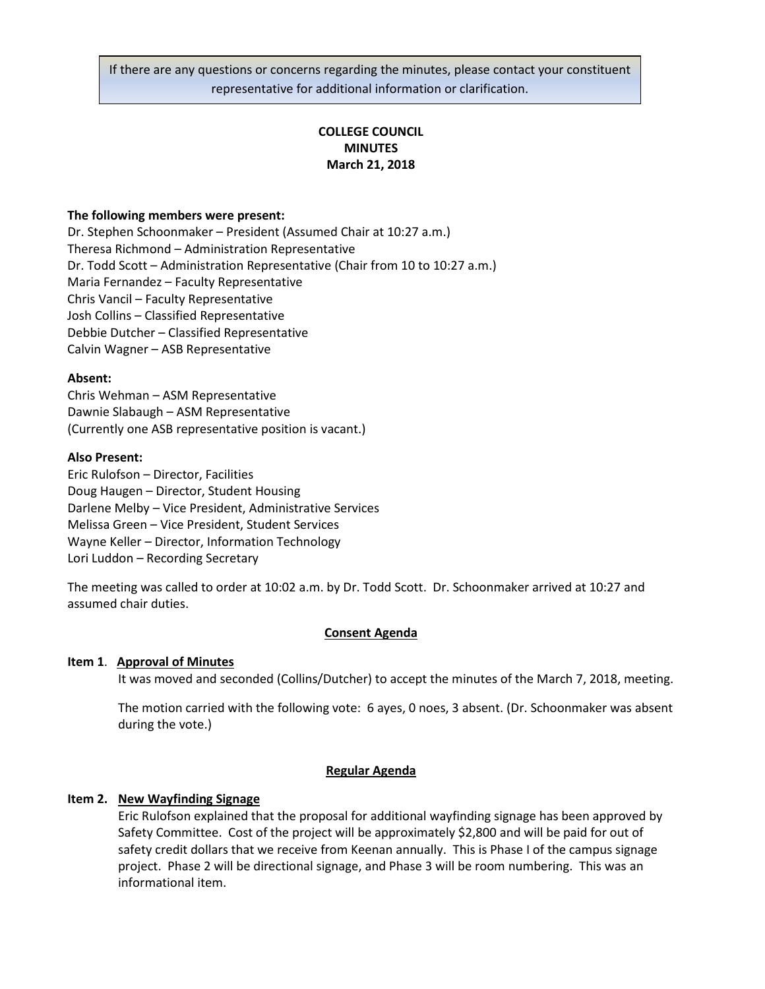If there are any questions or concerns regarding the minutes, please contact your constituent representative for additional information or clarification.

# **COLLEGE COUNCIL MINUTES March 21, 2018**

### **The following members were present:**

Dr. Stephen Schoonmaker – President (Assumed Chair at 10:27 a.m.) Theresa Richmond – Administration Representative Dr. Todd Scott – Administration Representative (Chair from 10 to 10:27 a.m.) Maria Fernandez – Faculty Representative Chris Vancil – Faculty Representative Josh Collins – Classified Representative Debbie Dutcher – Classified Representative Calvin Wagner – ASB Representative

#### **Absent:**

Chris Wehman – ASM Representative Dawnie Slabaugh – ASM Representative (Currently one ASB representative position is vacant.)

#### **Also Present:**

Eric Rulofson – Director, Facilities Doug Haugen – Director, Student Housing Darlene Melby – Vice President, Administrative Services Melissa Green – Vice President, Student Services Wayne Keller – Director, Information Technology Lori Luddon – Recording Secretary

The meeting was called to order at 10:02 a.m. by Dr. Todd Scott. Dr. Schoonmaker arrived at 10:27 and assumed chair duties.

#### **Consent Agenda**

#### **Item 1**. **Approval of Minutes**

It was moved and seconded (Collins/Dutcher) to accept the minutes of the March 7, 2018, meeting.

The motion carried with the following vote: 6 ayes, 0 noes, 3 absent. (Dr. Schoonmaker was absent during the vote.)

#### **Regular Agenda**

#### **Item 2. New Wayfinding Signage**

Eric Rulofson explained that the proposal for additional wayfinding signage has been approved by Safety Committee. Cost of the project will be approximately \$2,800 and will be paid for out of safety credit dollars that we receive from Keenan annually. This is Phase I of the campus signage project. Phase 2 will be directional signage, and Phase 3 will be room numbering. This was an informational item.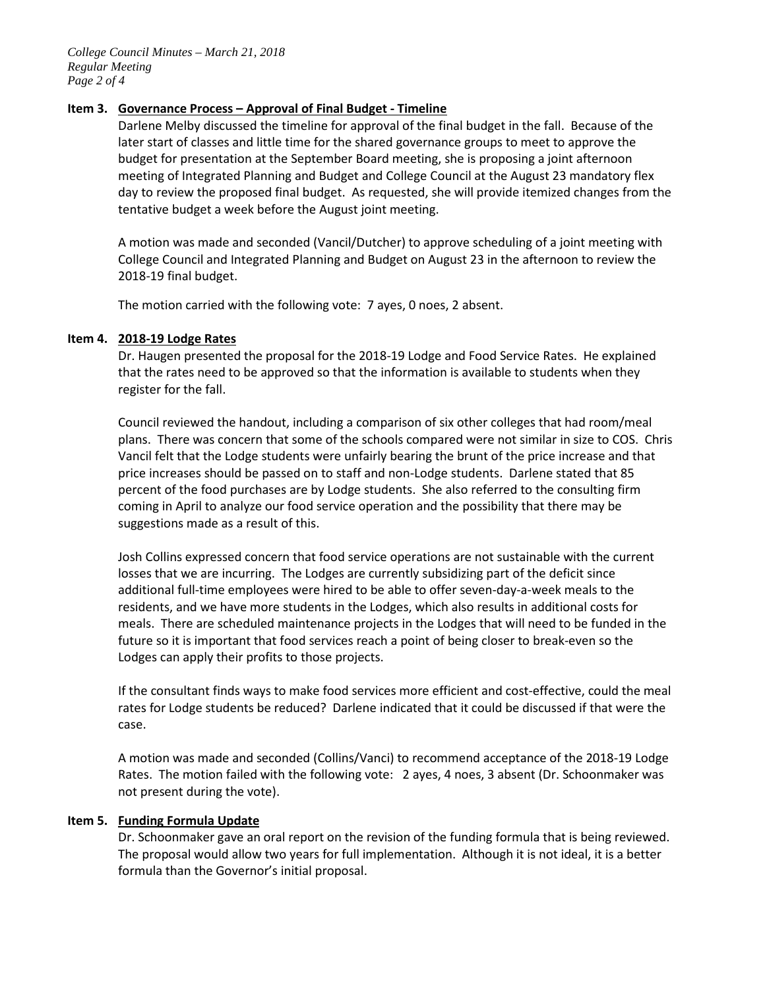## **Item 3. Governance Process – Approval of Final Budget - Timeline**

Darlene Melby discussed the timeline for approval of the final budget in the fall. Because of the later start of classes and little time for the shared governance groups to meet to approve the budget for presentation at the September Board meeting, she is proposing a joint afternoon meeting of Integrated Planning and Budget and College Council at the August 23 mandatory flex day to review the proposed final budget. As requested, she will provide itemized changes from the tentative budget a week before the August joint meeting.

A motion was made and seconded (Vancil/Dutcher) to approve scheduling of a joint meeting with College Council and Integrated Planning and Budget on August 23 in the afternoon to review the 2018-19 final budget.

The motion carried with the following vote: 7 ayes, 0 noes, 2 absent.

### **Item 4. 2018-19 Lodge Rates**

Dr. Haugen presented the proposal for the 2018-19 Lodge and Food Service Rates. He explained that the rates need to be approved so that the information is available to students when they register for the fall.

Council reviewed the handout, including a comparison of six other colleges that had room/meal plans. There was concern that some of the schools compared were not similar in size to COS. Chris Vancil felt that the Lodge students were unfairly bearing the brunt of the price increase and that price increases should be passed on to staff and non-Lodge students. Darlene stated that 85 percent of the food purchases are by Lodge students. She also referred to the consulting firm coming in April to analyze our food service operation and the possibility that there may be suggestions made as a result of this.

Josh Collins expressed concern that food service operations are not sustainable with the current losses that we are incurring. The Lodges are currently subsidizing part of the deficit since additional full-time employees were hired to be able to offer seven-day-a-week meals to the residents, and we have more students in the Lodges, which also results in additional costs for meals. There are scheduled maintenance projects in the Lodges that will need to be funded in the future so it is important that food services reach a point of being closer to break-even so the Lodges can apply their profits to those projects.

If the consultant finds ways to make food services more efficient and cost-effective, could the meal rates for Lodge students be reduced? Darlene indicated that it could be discussed if that were the case.

A motion was made and seconded (Collins/Vanci) to recommend acceptance of the 2018-19 Lodge Rates. The motion failed with the following vote: 2 ayes, 4 noes, 3 absent (Dr. Schoonmaker was not present during the vote).

#### **Item 5. Funding Formula Update**

Dr. Schoonmaker gave an oral report on the revision of the funding formula that is being reviewed. The proposal would allow two years for full implementation. Although it is not ideal, it is a better formula than the Governor's initial proposal.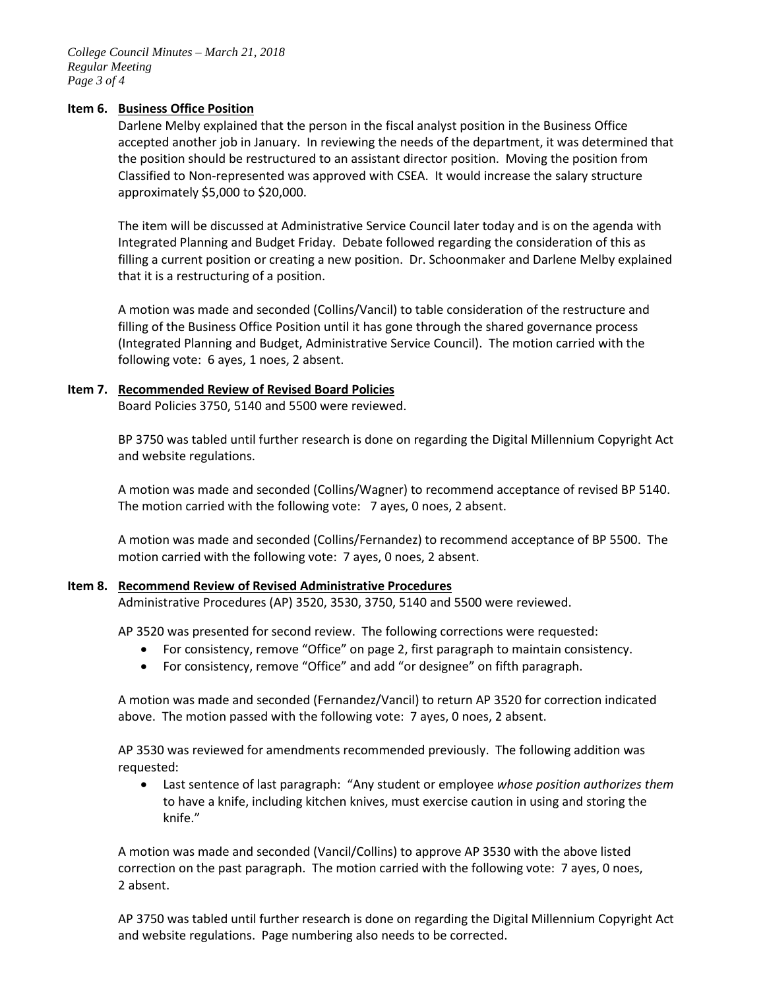### **Item 6. Business Office Position**

Darlene Melby explained that the person in the fiscal analyst position in the Business Office accepted another job in January. In reviewing the needs of the department, it was determined that the position should be restructured to an assistant director position. Moving the position from Classified to Non-represented was approved with CSEA. It would increase the salary structure approximately \$5,000 to \$20,000.

The item will be discussed at Administrative Service Council later today and is on the agenda with Integrated Planning and Budget Friday. Debate followed regarding the consideration of this as filling a current position or creating a new position. Dr. Schoonmaker and Darlene Melby explained that it is a restructuring of a position.

A motion was made and seconded (Collins/Vancil) to table consideration of the restructure and filling of the Business Office Position until it has gone through the shared governance process (Integrated Planning and Budget, Administrative Service Council). The motion carried with the following vote: 6 ayes, 1 noes, 2 absent.

## **Item 7. Recommended Review of Revised Board Policies**

Board Policies 3750, 5140 and 5500 were reviewed.

BP 3750 was tabled until further research is done on regarding the Digital Millennium Copyright Act and website regulations.

A motion was made and seconded (Collins/Wagner) to recommend acceptance of revised BP 5140. The motion carried with the following vote: 7 ayes, 0 noes, 2 absent.

A motion was made and seconded (Collins/Fernandez) to recommend acceptance of BP 5500. The motion carried with the following vote: 7 ayes, 0 noes, 2 absent.

## **Item 8. Recommend Review of Revised Administrative Procedures**

Administrative Procedures (AP) 3520, 3530, 3750, 5140 and 5500 were reviewed.

AP 3520 was presented for second review. The following corrections were requested:

- For consistency, remove "Office" on page 2, first paragraph to maintain consistency.
- For consistency, remove "Office" and add "or designee" on fifth paragraph.

A motion was made and seconded (Fernandez/Vancil) to return AP 3520 for correction indicated above. The motion passed with the following vote: 7 ayes, 0 noes, 2 absent.

AP 3530 was reviewed for amendments recommended previously. The following addition was requested:

• Last sentence of last paragraph: "Any student or employee *whose position authorizes them* to have a knife, including kitchen knives, must exercise caution in using and storing the knife."

A motion was made and seconded (Vancil/Collins) to approve AP 3530 with the above listed correction on the past paragraph. The motion carried with the following vote: 7 ayes, 0 noes, 2 absent.

AP 3750 was tabled until further research is done on regarding the Digital Millennium Copyright Act and website regulations. Page numbering also needs to be corrected.